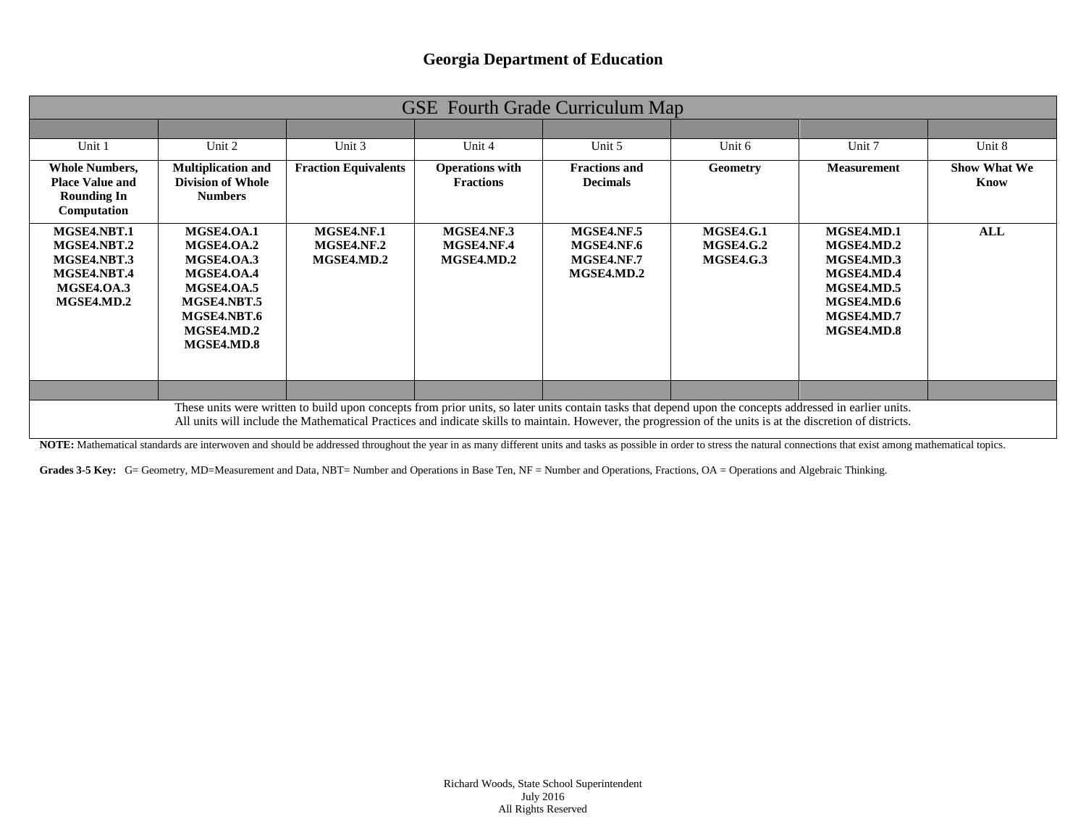|                                                                                      |                                                                                                                                     |                                                                                                                                                                                                                                                                                                                         |                                            | <b>GSE</b> Fourth Grade Curriculum Map                      |                                                          |                                                                                                              |                             |
|--------------------------------------------------------------------------------------|-------------------------------------------------------------------------------------------------------------------------------------|-------------------------------------------------------------------------------------------------------------------------------------------------------------------------------------------------------------------------------------------------------------------------------------------------------------------------|--------------------------------------------|-------------------------------------------------------------|----------------------------------------------------------|--------------------------------------------------------------------------------------------------------------|-----------------------------|
|                                                                                      |                                                                                                                                     |                                                                                                                                                                                                                                                                                                                         |                                            |                                                             |                                                          |                                                                                                              |                             |
| Unit 1                                                                               | Unit 2                                                                                                                              | Unit 3                                                                                                                                                                                                                                                                                                                  | Unit 4                                     | Unit 5                                                      | Unit 6                                                   | Unit 7                                                                                                       | Unit 8                      |
| <b>Whole Numbers,</b><br><b>Place Value and</b><br><b>Rounding In</b><br>Computation | <b>Multiplication and</b><br><b>Division of Whole</b><br><b>Numbers</b>                                                             | <b>Fraction Equivalents</b>                                                                                                                                                                                                                                                                                             | <b>Operations with</b><br><b>Fractions</b> | <b>Fractions and</b><br><b>Decimals</b>                     | <b>Geometry</b>                                          | <b>Measurement</b>                                                                                           | <b>Show What We</b><br>Know |
| MGSE4.NBT.1<br>MGSE4.NBT.2<br>MGSE4.NBT.3<br>MGSE4.NBT.4<br>MGSE4.OA.3<br>MGSE4.MD.2 | <b>MGSE4.OA.1</b><br>MGSE4.OA.2<br>MGSE4.OA.3<br>MGSE4.OA.4<br>MGSE4.OA.5<br>MGSE4.NBT.5<br>MGSE4.NBT.6<br>MGSE4.MD.2<br>MGSE4.MD.8 | MGSE4.NF.1<br>MGSE4.NF.2<br><b>MGSE4.MD.2</b>                                                                                                                                                                                                                                                                           | MGSE4.NF.3<br>MGSE4.NF.4<br>MGSE4.MD.2     | <b>MGSE4.NF.5</b><br>MGSE4.NF.6<br>MGSE4.NF.7<br>MGSE4.MD.2 | <b>MGSE4.G.1</b><br><b>MGSE4.G.2</b><br><b>MGSE4.G.3</b> | MGSE4.MD.1<br>MGSE4.MD.2<br>MGSE4.MD.3<br>MGSE4.MD.4<br>MGSE4.MD.5<br>MGSE4.MD.6<br>MGSE4.MD.7<br>MGSE4.MD.8 | ALL                         |
|                                                                                      |                                                                                                                                     |                                                                                                                                                                                                                                                                                                                         |                                            |                                                             |                                                          |                                                                                                              |                             |
|                                                                                      |                                                                                                                                     | These units were written to build upon concepts from prior units, so later units contain tasks that depend upon the concepts addressed in earlier units.<br>All units will include the Mathematical Practices and indicate skills to maintain. However, the progression of the units is at the discretion of districts. |                                            |                                                             |                                                          |                                                                                                              |                             |

NOTE: Mathematical standards are interwoven and should be addressed throughout the year in as many different units and tasks as possible in order to stress the natural connections that exist among mathematical topics.

Grades 3-5 Key: G= Geometry, MD=Measurement and Data, NBT= Number and Operations in Base Ten, NF = Number and Operations, Fractions, OA = Operations and Algebraic Thinking.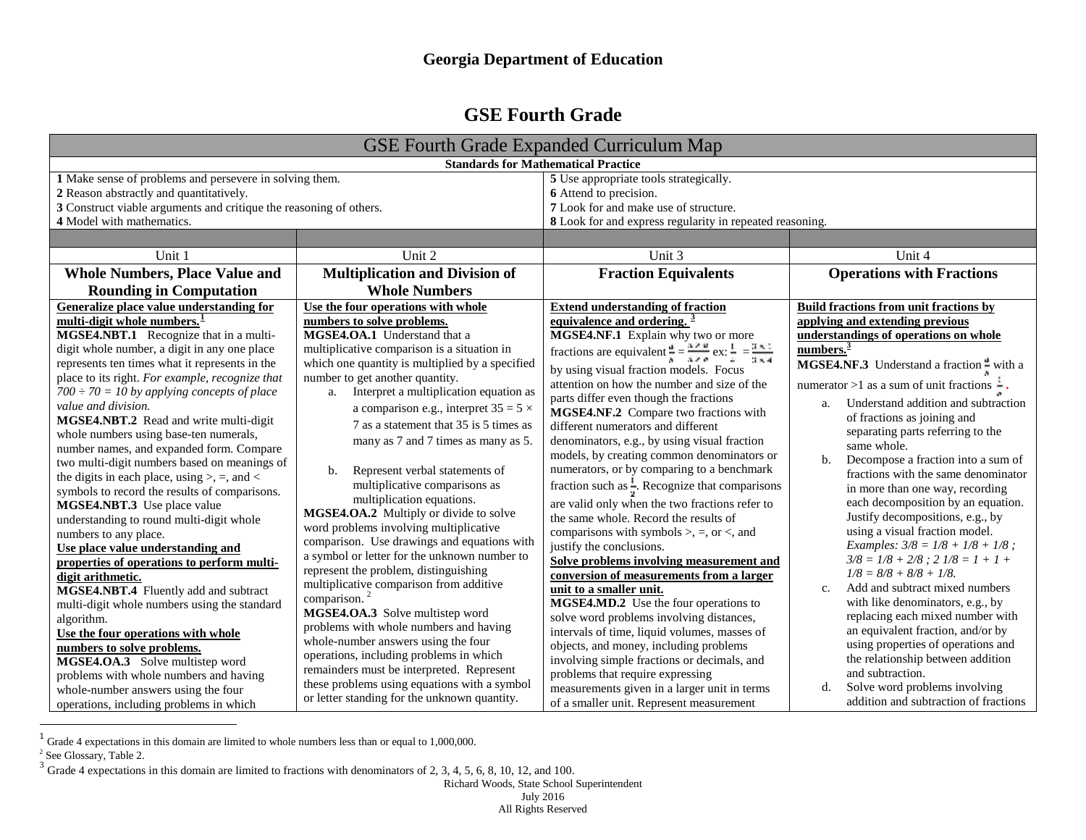# <span id="page-1-2"></span><span id="page-1-1"></span><span id="page-1-0"></span>**GSE Fourth Grade**

|                                                                    |                                                                                      | <b>GSE Fourth Grade Expanded Curriculum Map</b>                                                                |                                                                           |  |  |
|--------------------------------------------------------------------|--------------------------------------------------------------------------------------|----------------------------------------------------------------------------------------------------------------|---------------------------------------------------------------------------|--|--|
| <b>Standards for Mathematical Practice</b>                         |                                                                                      |                                                                                                                |                                                                           |  |  |
| 1 Make sense of problems and persevere in solving them.            |                                                                                      | 5 Use appropriate tools strategically.                                                                         |                                                                           |  |  |
| 2 Reason abstractly and quantitatively.                            |                                                                                      | 6 Attend to precision.                                                                                         |                                                                           |  |  |
| 3 Construct viable arguments and critique the reasoning of others. |                                                                                      | 7 Look for and make use of structure.                                                                          |                                                                           |  |  |
| 4 Model with mathematics.                                          |                                                                                      | 8 Look for and express regularity in repeated reasoning.                                                       |                                                                           |  |  |
|                                                                    |                                                                                      |                                                                                                                |                                                                           |  |  |
| Unit 1                                                             | Unit 2                                                                               | Unit 3                                                                                                         | Unit 4                                                                    |  |  |
| <b>Whole Numbers, Place Value and</b>                              | <b>Multiplication and Division of</b>                                                | <b>Fraction Equivalents</b>                                                                                    | <b>Operations with Fractions</b>                                          |  |  |
| <b>Rounding in Computation</b>                                     | <b>Whole Numbers</b>                                                                 |                                                                                                                |                                                                           |  |  |
| Generalize place value understanding for                           | Use the four operations with whole                                                   | <b>Extend understanding of fraction</b>                                                                        | Build fractions from unit fractions by                                    |  |  |
| multi-digit whole numbers. <sup>1</sup>                            | numbers to solve problems.                                                           | equivalence and ordering. $\frac{3}{2}$                                                                        | applying and extending previous                                           |  |  |
| MGSE4.NBT.1 Recognize that in a multi-                             | MGSE4.OA.1 Understand that a                                                         | MGSE4.NF.1 Explain why two or more                                                                             | understandings of operations on whole                                     |  |  |
| digit whole number, a digit in any one place                       | multiplicative comparison is a situation in                                          | fractions are equivalent $\frac{d}{dt} = \frac{\pi \times u}{\pi \times v}$ ex: $\frac{1}{4} = \frac{3x}{3x4}$ | numbers. $3$<br>MGSE4.NF.3 Understand a fraction - with a                 |  |  |
| represents ten times what it represents in the                     | which one quantity is multiplied by a specified                                      | by using visual fraction models. Focus                                                                         |                                                                           |  |  |
| place to its right. For example, recognize that                    | number to get another quantity.                                                      | attention on how the number and size of the                                                                    | numerator >1 as a sum of unit fractions $\frac{1}{x}$ .                   |  |  |
| $700 \div 70 = 10$ by applying concepts of place                   | a. Interpret a multiplication equation as                                            | parts differ even though the fractions                                                                         |                                                                           |  |  |
| value and division.                                                | a comparison e.g., interpret $35 = 5 \times$                                         | MGSE4.NF.2 Compare two fractions with                                                                          | Understand addition and subtraction<br>a.                                 |  |  |
| MGSE4.NBT.2 Read and write multi-digit                             | 7 as a statement that 35 is 5 times as                                               | different numerators and different                                                                             | of fractions as joining and                                               |  |  |
| whole numbers using base-ten numerals,                             | many as 7 and 7 times as many as 5.                                                  | denominators, e.g., by using visual fraction                                                                   | separating parts referring to the<br>same whole.                          |  |  |
| number names, and expanded form. Compare                           |                                                                                      | models, by creating common denominators or                                                                     | $\mathbf{b}$ .                                                            |  |  |
| two multi-digit numbers based on meanings of                       | Represent verbal statements of<br>b.                                                 | numerators, or by comparing to a benchmark                                                                     | Decompose a fraction into a sum of<br>fractions with the same denominator |  |  |
| the digits in each place, using $>$ , =, and <                     | multiplicative comparisons as                                                        | fraction such as $\frac{1}{x}$ . Recognize that comparisons                                                    | in more than one way, recording                                           |  |  |
| symbols to record the results of comparisons.                      | multiplication equations.                                                            | are valid only when the two fractions refer to                                                                 | each decomposition by an equation.                                        |  |  |
| MGSE4.NBT.3 Use place value                                        | MGSE4.OA.2 Multiply or divide to solve                                               | the same whole. Record the results of                                                                          | Justify decompositions, e.g., by                                          |  |  |
| understanding to round multi-digit whole<br>numbers to any place.  | word problems involving multiplicative                                               | comparisons with symbols $\ge$ , $=$ , or $\lt$ , and                                                          | using a visual fraction model.                                            |  |  |
| Use place value understanding and                                  | comparison. Use drawings and equations with                                          | justify the conclusions.                                                                                       | <i>Examples:</i> $3/8 = 1/8 + 1/8 + 1/8$ ;                                |  |  |
| properties of operations to perform multi-                         | a symbol or letter for the unknown number to                                         | Solve problems involving measurement and                                                                       | $3/8 = 1/8 + 2/8$ ; $2 \frac{1}{8} = 1 + 1 +$                             |  |  |
| digit arithmetic.                                                  | represent the problem, distinguishing                                                | conversion of measurements from a larger                                                                       | $1/8 = 8/8 + 8/8 + 1/8.$                                                  |  |  |
| MGSE4.NBT.4 Fluently add and subtract                              | multiplicative comparison from additive                                              | unit to a smaller unit.                                                                                        | Add and subtract mixed numbers<br>c.                                      |  |  |
| multi-digit whole numbers using the standard                       | comparison. <sup>2</sup>                                                             | MGSE4.MD.2 Use the four operations to                                                                          | with like denominators, e.g., by                                          |  |  |
| algorithm.                                                         | MGSE4.OA.3 Solve multistep word                                                      | solve word problems involving distances,                                                                       | replacing each mixed number with                                          |  |  |
| Use the four operations with whole                                 | problems with whole numbers and having                                               | intervals of time, liquid volumes, masses of                                                                   | an equivalent fraction, and/or by                                         |  |  |
| numbers to solve problems.                                         | whole-number answers using the four                                                  | objects, and money, including problems                                                                         | using properties of operations and                                        |  |  |
| MGSE4.OA.3 Solve multistep word                                    | operations, including problems in which<br>remainders must be interpreted. Represent | involving simple fractions or decimals, and                                                                    | the relationship between addition                                         |  |  |
| problems with whole numbers and having                             | these problems using equations with a symbol                                         | problems that require expressing                                                                               | and subtraction.                                                          |  |  |
| whole-number answers using the four                                | or letter standing for the unknown quantity.                                         | measurements given in a larger unit in terms                                                                   | Solve word problems involving<br>d.                                       |  |  |
| operations, including problems in which                            |                                                                                      | of a smaller unit. Represent measurement                                                                       | addition and subtraction of fractions                                     |  |  |

 $\frac{1}{1}$  Grade 4 expectations in this domain are limited to whole numbers less than or equal to 1,000,000.

Richard Woods, State School Superintendent July 2016 All Rights Reserved

<sup>&</sup>lt;sup>2</sup> See Glossary, Table 2.

 $3$  Grade 4 expectations in this domain are limited to fractions with denominators of 2, 3, 4, 5, 6, 8, 10, 12, and 100.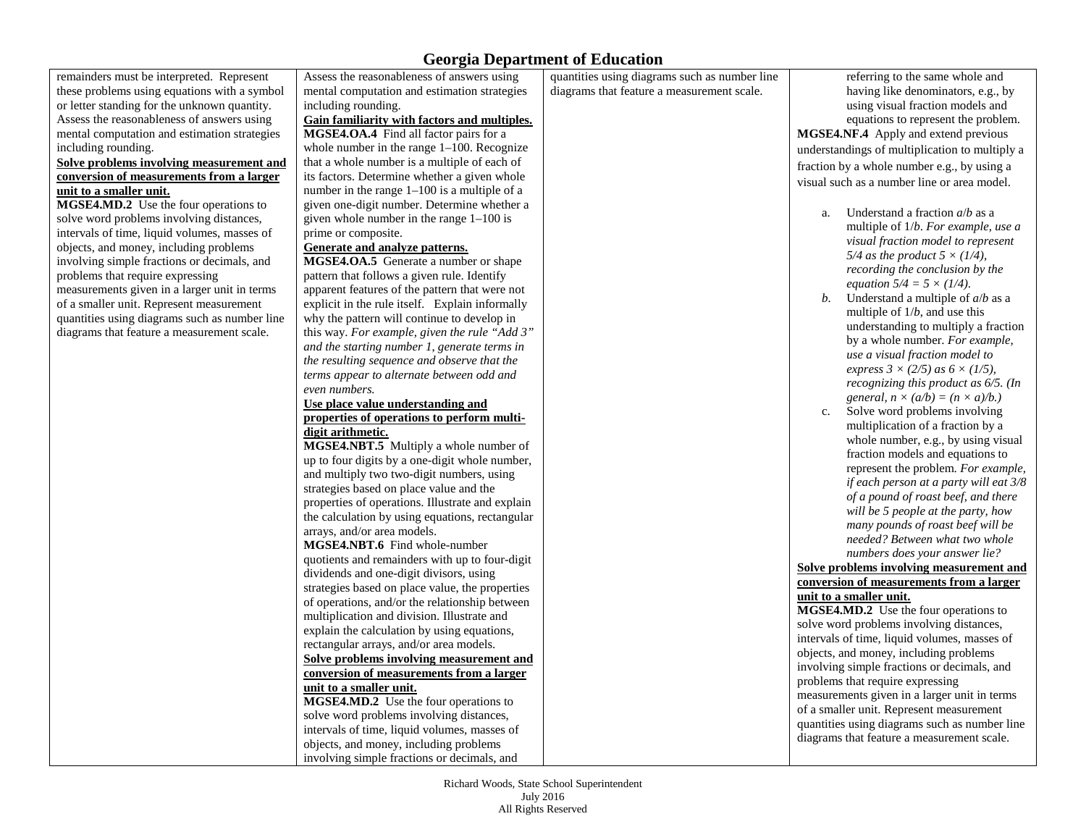remainders must be interpreted. Represent these problems using equations with a symbol or letter standing for the unknown quantity. Assess the reasonableness of answers using mental computation and estimation strategies including rounding.

#### **Solve problems involving measurement and conversion of measurements from a larger unit to a smaller unit.**

**MGSE4.MD.2** Use the four operations to solve word problems involving distances, intervals of time, liquid volumes, masses of objects, and money, including problems involving simple fractions or decimals, and problems that require expressing measurements given in a larger unit in terms of a smaller unit. Represent measurement quantities using diagrams such as number line diagrams that feature a measurement scale.

Assess the reasonableness of answers using mental computation and estimation strategies including rounding.

### **Gain familiarity with factors and multiples.**

**MGSE4.OA.4** Find all factor pairs for a whole number in the range 1–100. Recognize that a whole number is a multiple of each of its factors. Determine whether a given whole number in the range 1–100 is a multiple of a given one-digit number. Determine whether a given whole number in the range 1–100 is prime or composite.

### **Generate and analyze patterns.**

**MGSE4.OA.5** Generate a number or shape pattern that follows a given rule. Identify apparent features of the pattern that were not explicit in the rule itself. Explain informally why the pattern will continue to develop in this way. *For example, given the rule "Add 3" and the starting number 1*, *generate terms in the resulting sequence and observe that the terms appear to alternate between odd and even numbers.*

#### **Use place value understanding and properties of operations to perform multidigit arithmetic.**

**MGSE4.NBT.5** Multiply a whole number of up to four digits by a one-digit whole number, and multiply two two-digit numbers, using strategies based on place value and the properties of operations. Illustrate and explain the calculation by using equations, rectangular arrays, and/or area models.

**MGSE4.NBT.6** Find whole-number quotients and remainders with up to four-digit dividends and one-digit divisors, using strategies based on place value, the properties of operations, and/or the relationship between multiplication and division. Illustrate and explain the calculation by using equations, rectangular arrays, and/or area models. **Solve problems involving measurement and** 

### **conversion of measurements from a larger unit to a smaller unit.**

**MGSE4.MD.2** Use the four operations to solve word problems involving distances, intervals of time, liquid volumes, masses of objects, and money, including problems involving simple fractions or decimals, and

quantities using diagrams such as number line diagrams that feature a measurement scale.

referring to the same whole and having like denominators, e.g., by using visual fraction models and equations to represent the problem. **MGSE4.NF.4** Apply and extend previous understandings of multiplication to multiply a fraction by a whole number e.g., by using a visual such as a number line or area model.

- a. Understand a fraction *a*/*b* as a multiple of 1/*b*. *For example, use a visual fraction model to represent 5/4 as the product 5 × (1/4), recording the conclusion by the equation 5/4 = 5 × (1/4)*.
- *b.* Understand a multiple of *a*/*b* as a multiple of 1/*b*, and use this understanding to multiply a fraction by a whole number. *For example, use a visual fraction model to express 3 × (2/5) as 6 × (1/5), recognizing this product as 6/5. (In general,*  $n \times (a/b) = (n \times a)/b$ *.*)
- c. Solve word problems involving multiplication of a fraction by a whole number, e.g., by using visual fraction models and equations to represent the problem. *For example, if each person at a party will eat 3/8 of a pound of roast beef, and there will be 5 people at the party, how many pounds of roast beef will be needed? Between what two whole numbers does your answer lie?*

#### **Solve problems involving measurement and conversion of measurements from a larger unit to a smaller unit.**

**MGSE4.MD.2** Use the four operations to solve word problems involving distances, intervals of time, liquid volumes, masses of objects, and money, including problems involving simple fractions or decimals, and problems that require expressing measurements given in a larger unit in terms of a smaller unit. Represent measurement quantities using diagrams such as number line diagrams that feature a measurement scale.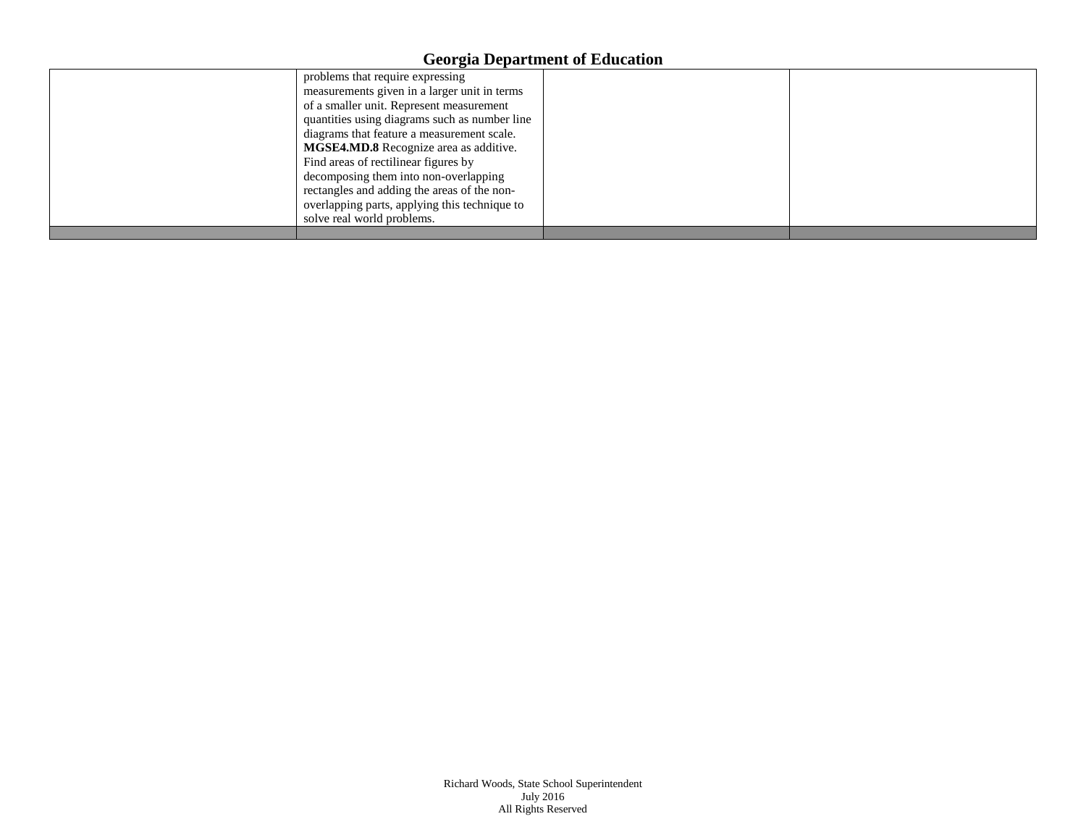| problems that require expressing              |  |
|-----------------------------------------------|--|
| measurements given in a larger unit in terms  |  |
| of a smaller unit. Represent measurement      |  |
| quantities using diagrams such as number line |  |
| diagrams that feature a measurement scale.    |  |
| <b>MGSE4.MD.8</b> Recognize area as additive. |  |
| Find areas of rectilinear figures by          |  |
| decomposing them into non-overlapping         |  |
| rectangles and adding the areas of the non-   |  |
| overlapping parts, applying this technique to |  |
| solve real world problems.                    |  |
|                                               |  |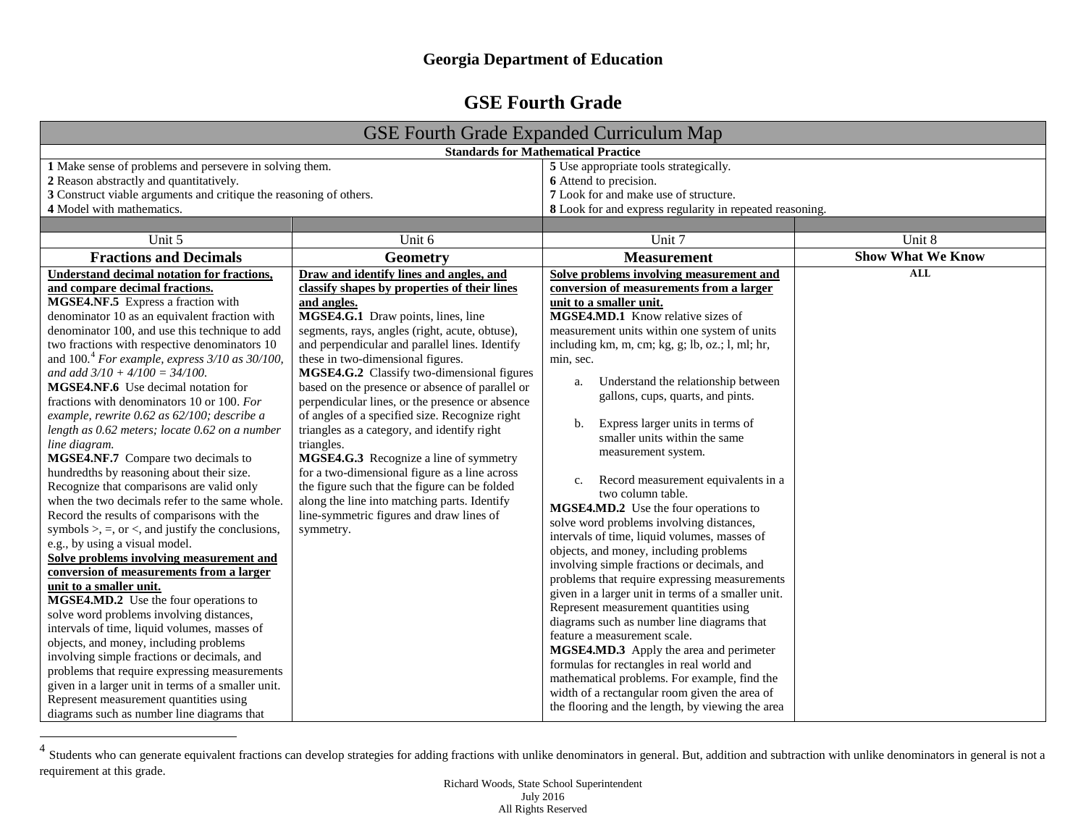# <span id="page-4-0"></span>**GSE Fourth Grade**

|                                                                                                                                                                                                                                                                                                                                                                                                                                                                                                                                                                                                                                                                                                                                                                                                                                                                                                                                                                                                                                                                                                                                                                                      | <b>GSE Fourth Grade Expanded Curriculum Map</b>                                                                                                                                                                                                                                                                                                                                                                                                                                                                                                           |                                                                                                                                                                                                                                                                                                                                                                                                                                                                                                                                                                                                                                                                                                                                                                                                                                                                                                                                                                           |                          |
|--------------------------------------------------------------------------------------------------------------------------------------------------------------------------------------------------------------------------------------------------------------------------------------------------------------------------------------------------------------------------------------------------------------------------------------------------------------------------------------------------------------------------------------------------------------------------------------------------------------------------------------------------------------------------------------------------------------------------------------------------------------------------------------------------------------------------------------------------------------------------------------------------------------------------------------------------------------------------------------------------------------------------------------------------------------------------------------------------------------------------------------------------------------------------------------|-----------------------------------------------------------------------------------------------------------------------------------------------------------------------------------------------------------------------------------------------------------------------------------------------------------------------------------------------------------------------------------------------------------------------------------------------------------------------------------------------------------------------------------------------------------|---------------------------------------------------------------------------------------------------------------------------------------------------------------------------------------------------------------------------------------------------------------------------------------------------------------------------------------------------------------------------------------------------------------------------------------------------------------------------------------------------------------------------------------------------------------------------------------------------------------------------------------------------------------------------------------------------------------------------------------------------------------------------------------------------------------------------------------------------------------------------------------------------------------------------------------------------------------------------|--------------------------|
|                                                                                                                                                                                                                                                                                                                                                                                                                                                                                                                                                                                                                                                                                                                                                                                                                                                                                                                                                                                                                                                                                                                                                                                      |                                                                                                                                                                                                                                                                                                                                                                                                                                                                                                                                                           | <b>Standards for Mathematical Practice</b>                                                                                                                                                                                                                                                                                                                                                                                                                                                                                                                                                                                                                                                                                                                                                                                                                                                                                                                                |                          |
| 1 Make sense of problems and persevere in solving them.<br>2 Reason abstractly and quantitatively.<br>3 Construct viable arguments and critique the reasoning of others.<br>4 Model with mathematics.                                                                                                                                                                                                                                                                                                                                                                                                                                                                                                                                                                                                                                                                                                                                                                                                                                                                                                                                                                                | 5 Use appropriate tools strategically.<br>6 Attend to precision.<br>7 Look for and make use of structure.<br>8 Look for and express regularity in repeated reasoning.                                                                                                                                                                                                                                                                                                                                                                                     |                                                                                                                                                                                                                                                                                                                                                                                                                                                                                                                                                                                                                                                                                                                                                                                                                                                                                                                                                                           |                          |
|                                                                                                                                                                                                                                                                                                                                                                                                                                                                                                                                                                                                                                                                                                                                                                                                                                                                                                                                                                                                                                                                                                                                                                                      |                                                                                                                                                                                                                                                                                                                                                                                                                                                                                                                                                           |                                                                                                                                                                                                                                                                                                                                                                                                                                                                                                                                                                                                                                                                                                                                                                                                                                                                                                                                                                           |                          |
| Unit 5                                                                                                                                                                                                                                                                                                                                                                                                                                                                                                                                                                                                                                                                                                                                                                                                                                                                                                                                                                                                                                                                                                                                                                               | Unit 6                                                                                                                                                                                                                                                                                                                                                                                                                                                                                                                                                    | Unit 7                                                                                                                                                                                                                                                                                                                                                                                                                                                                                                                                                                                                                                                                                                                                                                                                                                                                                                                                                                    | Unit 8                   |
| <b>Fractions and Decimals</b>                                                                                                                                                                                                                                                                                                                                                                                                                                                                                                                                                                                                                                                                                                                                                                                                                                                                                                                                                                                                                                                                                                                                                        | Geometry                                                                                                                                                                                                                                                                                                                                                                                                                                                                                                                                                  | <b>Measurement</b>                                                                                                                                                                                                                                                                                                                                                                                                                                                                                                                                                                                                                                                                                                                                                                                                                                                                                                                                                        | <b>Show What We Know</b> |
| Understand decimal notation for fractions,                                                                                                                                                                                                                                                                                                                                                                                                                                                                                                                                                                                                                                                                                                                                                                                                                                                                                                                                                                                                                                                                                                                                           | Draw and identify lines and angles, and                                                                                                                                                                                                                                                                                                                                                                                                                                                                                                                   | Solve problems involving measurement and                                                                                                                                                                                                                                                                                                                                                                                                                                                                                                                                                                                                                                                                                                                                                                                                                                                                                                                                  | <b>ALL</b>               |
| and compare decimal fractions.<br>MGSE4.NF.5 Express a fraction with                                                                                                                                                                                                                                                                                                                                                                                                                                                                                                                                                                                                                                                                                                                                                                                                                                                                                                                                                                                                                                                                                                                 | classify shapes by properties of their lines<br>and angles.                                                                                                                                                                                                                                                                                                                                                                                                                                                                                               | conversion of measurements from a larger<br>unit to a smaller unit.                                                                                                                                                                                                                                                                                                                                                                                                                                                                                                                                                                                                                                                                                                                                                                                                                                                                                                       |                          |
| denominator 10 as an equivalent fraction with<br>denominator 100, and use this technique to add<br>two fractions with respective denominators 10                                                                                                                                                                                                                                                                                                                                                                                                                                                                                                                                                                                                                                                                                                                                                                                                                                                                                                                                                                                                                                     | MGSE4.G.1 Draw points, lines, line<br>segments, rays, angles (right, acute, obtuse),<br>and perpendicular and parallel lines. Identify                                                                                                                                                                                                                                                                                                                                                                                                                    | <b>MGSE4.MD.1</b> Know relative sizes of<br>measurement units within one system of units<br>including km, m, cm; kg, g; lb, oz.; l, ml; hr,                                                                                                                                                                                                                                                                                                                                                                                                                                                                                                                                                                                                                                                                                                                                                                                                                               |                          |
| and $100.4$ For example, express $3/10$ as $30/100$ ,<br>and add $3/10 + 4/100 = 34/100$ .<br>MGSE4.NF.6 Use decimal notation for<br>fractions with denominators 10 or 100. For<br>example, rewrite 0.62 as 62/100; describe a<br>length as 0.62 meters; locate 0.62 on a number<br>line diagram.<br>MGSE4.NF.7 Compare two decimals to<br>hundredths by reasoning about their size.<br>Recognize that comparisons are valid only<br>when the two decimals refer to the same whole.<br>Record the results of comparisons with the<br>symbols $\ge$ , $=$ , or $\lt$ , and justify the conclusions,<br>e.g., by using a visual model.<br>Solve problems involving measurement and<br>conversion of measurements from a larger<br>unit to a smaller unit.<br>MGSE4.MD.2 Use the four operations to<br>solve word problems involving distances,<br>intervals of time, liquid volumes, masses of<br>objects, and money, including problems<br>involving simple fractions or decimals, and<br>problems that require expressing measurements<br>given in a larger unit in terms of a smaller unit.<br>Represent measurement quantities using<br>diagrams such as number line diagrams that | these in two-dimensional figures.<br>MGSE4.G.2 Classify two-dimensional figures<br>based on the presence or absence of parallel or<br>perpendicular lines, or the presence or absence<br>of angles of a specified size. Recognize right<br>triangles as a category, and identify right<br>triangles.<br>MGSE4.G.3 Recognize a line of symmetry<br>for a two-dimensional figure as a line across<br>the figure such that the figure can be folded<br>along the line into matching parts. Identify<br>line-symmetric figures and draw lines of<br>symmetry. | min, sec.<br>Understand the relationship between<br>a.<br>gallons, cups, quarts, and pints.<br>Express larger units in terms of<br>b.<br>smaller units within the same<br>measurement system.<br>Record measurement equivalents in a<br>c.<br>two column table.<br>MGSE4.MD.2 Use the four operations to<br>solve word problems involving distances,<br>intervals of time, liquid volumes, masses of<br>objects, and money, including problems<br>involving simple fractions or decimals, and<br>problems that require expressing measurements<br>given in a larger unit in terms of a smaller unit.<br>Represent measurement quantities using<br>diagrams such as number line diagrams that<br>feature a measurement scale.<br>MGSE4.MD.3 Apply the area and perimeter<br>formulas for rectangles in real world and<br>mathematical problems. For example, find the<br>width of a rectangular room given the area of<br>the flooring and the length, by viewing the area |                          |

 $4$  Students who can generate equivalent fractions can develop strategies for adding fractions with unlike denominators in general. But, addition and subtraction with unlike denominators in general is not a requirement at this grade.